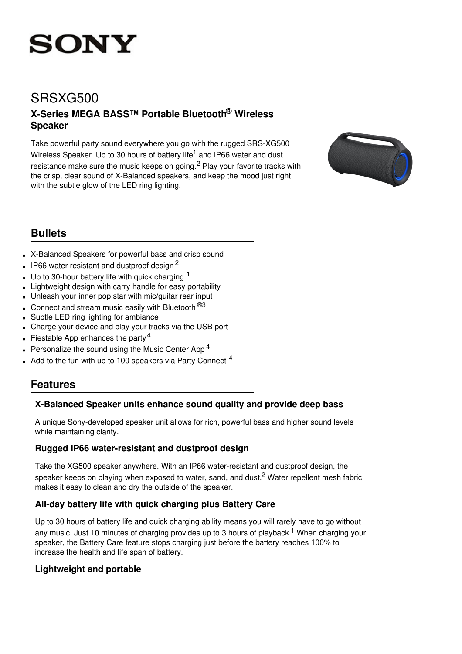

# SRSXG500

## **X-Series MEGA BASS™ Portable Bluetooth ® Wireless Speaker**

Take powerful party sound everywhere you go with the rugged SRS-XG500 Wireless Speaker. Up to 30 hours of battery life<sup>1</sup> and IP66 water and dust resistance make sure the music keeps on going.<sup>2</sup> Play your favorite tracks with the crisp, clear sound of X-Balanced speakers, and keep the mood just right with the subtle glow of the LED ring lighting.



## **Bullets**

- X-Balanced Speakers for powerful bass and crisp sound
- IP66 water resistant and dustproof design<sup>2</sup>  $\bullet$
- Up to 30-hour battery life with quick charging  $<sup>1</sup>$ </sup>  $\circ$
- Lightweight design with carry handle for easy portability  $\circ$
- Unleash your inner pop star with mic/guitar rear input  $\ddot{\phantom{0}}$
- $\cdot$  Connect and stream music easily with Bluetooth  $^{@3}$
- Subtle LED ring lighting for ambiance  $\ddot{\circ}$
- Charge your device and play your tracks via the USB port  $\circ$
- Fiestable App enhances the party<sup>4</sup>
- Personalize the sound using the Music Center App<sup>4</sup>  $\circ$
- Add to the fun with up to 100 speakers via Party Connect <sup>4</sup>

### **Features**

#### **X-Balanced Speaker units enhance sound quality and provide deep bass**

A unique Sony-developed speaker unit allows for rich, powerful bass and higher sound levels while maintaining clarity.

#### **Rugged IP66 water-resistant and dustproof design**

Take the XG500 speaker anywhere. With an IP66 water-resistant and dustproof design, the speaker keeps on playing when exposed to water, sand, and dust.<sup>2</sup> Water repellent mesh fabric makes it easy to clean and dry the outside of the speaker.

### **All-day battery life with quick charging plus Battery Care**

Up to 30 hours of battery life and quick charging ability means you will rarely have to go without any music. Just 10 minutes of charging provides up to 3 hours of playback. <sup>1</sup> When charging your speaker, the Battery Care feature stops charging just before the battery reaches 100% to increase the health and life span of battery.

#### **Lightweight and portable**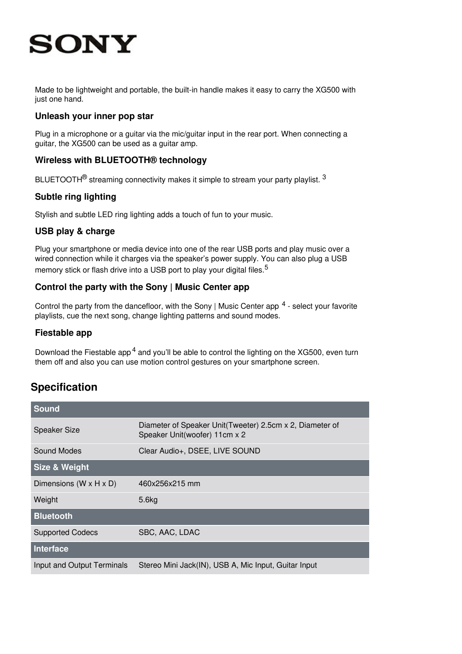# **SONY**

Made to be lightweight and portable, the built-in handle makes it easy to carry the XG500 with just one hand.

#### **Unleash your inner pop star**

Plug in a microphone or a guitar via the mic/guitar input in the rear port. When connecting a guitar, the XG500 can be used as a guitar amp.

#### **Wireless with BLUETOOTH® technology**

BLUETOOTH $^{\circledR}$  streaming connectivity makes it simple to stream your party playlist.  $^3$ 

#### **Subtle ring lighting**

Stylish and subtle LED ring lighting adds a touch of fun to your music.

#### **USB play & charge**

Plug your smartphone or media device into one of the rear USB ports and play music over a wired connection while it charges via the speaker's power supply. You can also plug a USB memory stick or flash drive into a USB port to play your digital files.<sup>5</sup>

#### **Control the party with the Sony | Music Center app**

Control the party from the dancefloor, with the Sony | Music Center app <sup>4</sup> - select your favorite playlists, cue the next song, change lighting patterns and sound modes.

#### **Fiestable app**

Download the Fiestable app<sup>4</sup> and you'll be able to control the lighting on the XG500, even turn them off and also you can use motion control gestures on your smartphone screen.

## **Specification**

| <b>Sound</b>                         |                                                                                           |
|--------------------------------------|-------------------------------------------------------------------------------------------|
| <b>Speaker Size</b>                  | Diameter of Speaker Unit(Tweeter) 2.5cm x 2, Diameter of<br>Speaker Unit(woofer) 11cm x 2 |
| Sound Modes                          | Clear Audio+, DSEE, LIVE SOUND                                                            |
| Size & Weight                        |                                                                                           |
| Dimensions ( $W \times H \times D$ ) | 460x256x215 mm                                                                            |
| Weight                               | 5.6kg                                                                                     |
| <b>Bluetooth</b>                     |                                                                                           |
| <b>Supported Codecs</b>              | SBC, AAC, LDAC                                                                            |
| Interface                            |                                                                                           |
| Input and Output Terminals           | Stereo Mini Jack(IN), USB A, Mic Input, Guitar Input                                      |